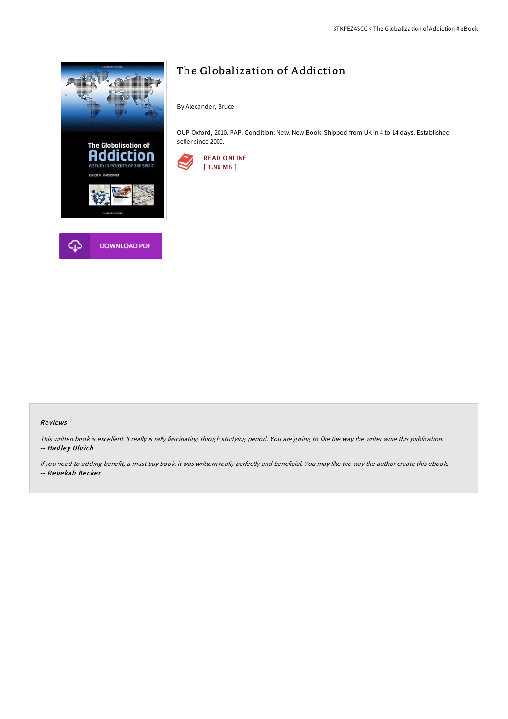



By Alexander, Bruce

OUP Oxford, 2010. PAP. Condition: New. New Book. Shipped from UK in 4 to 14 days. Established seller since 2000.



# Re views

This written book is excellent. It really is rally fascinating throgh studying period. You are going to like the way the writer write this publication. -- Hadley Ullrich

If you need to adding benefit, <sup>a</sup> must buy book. it was writtern really perfectly and beneficial. You may like the way the author create this ebook. -- Rebekah Becker